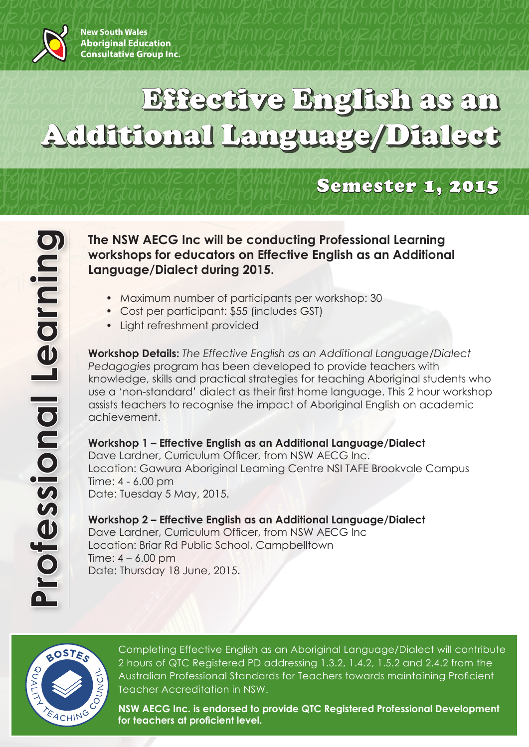

## defantuvwxyzabcdefunywxyzabcdefghijklmnopqrstuvwxyzabcdefghijklmnopqrstuv opqrsuvwyzabcdefghijklmndopqedefghijklmndopqedefghijklmn<mark>oppededeftyce i Bingliish as an</mark> cdi abcdefghijkladure brightan as an g abcdeffinitional Language/Dialect yy Additional Language/Dialect vwxyzabcdefghijklmnopqrstuvwxyzabcdefghijklmnopqrstuvwxyzabcdefghijklmnopqrstuvwxyzabcdefghijklmnopqrstu-Effective English as an Additional Language/Dialect

# vaxyninopqrsuuvwxyzabcaefghiakynnopgramester 1, 2015, yakin<br>Fghijklmnopgrstuvwxyzabcdefghijklmnopgrsuuvwzgzaby Suuroxyza defghigkunnopqrsuuvwxyzabcaefghigkunnopyrsuuvwyzabinyrsuurwxyza<br>opartuvwxyzabcdefahuklmnopartuvwxyzabcdefahuklmnopartuv

**The NSW AECG Inc will be conducting Professional Learning workshops for educators on Effective English as an Additional Language/Dialect during 2015.**

- Maximum number of participants per workshop: 30
- Cost per participant: \$55 (includes GST)
- Light refreshment provided

**Workshop Details:** *The Effective English as an Additional Language/Dialect Pedagogies* program has been developed to provide teachers with knowledge, skills and practical strategies for teaching Aboriginal students who use a 'non-standard' dialect as their first home language. This 2 hour workshop assists teachers to recognise the impact of Aboriginal English on academic achievement.

### **Workshop 1 – Effective English as an Additional Language/Dialect**

Dave Lardner, Curriculum Officer, from NSW AECG Inc. Location: Gawura Aboriginal Learning Centre NSI TAFE Brookvale Campus Time: 4 - 6.00 pm Date: Tuesday 5 May, 2015.

## **Workshop 2 – Effective English as an Additional Language/Dialect** Dave Lardner, Curriculum Officer, from NSW AECG Inc Location: Briar Rd Public School, Campbelltown

Time:  $4 - 6.00$  pm Date: Thursday 18 June, 2015.



Completing Effective English as an Aboriginal Language/Dialect will contribute 2 hours of QTC Registered PD addressing 1.3.2, 1.4.2, 1.5.2 and 2.4.2 from the Australian Professional Standards for Teachers towards maintaining Proficient Teacher Accreditation in NSW.

**NSW AECG Inc. is endorsed to provide QTC Registered Professional Development for teachers at proficient level.**